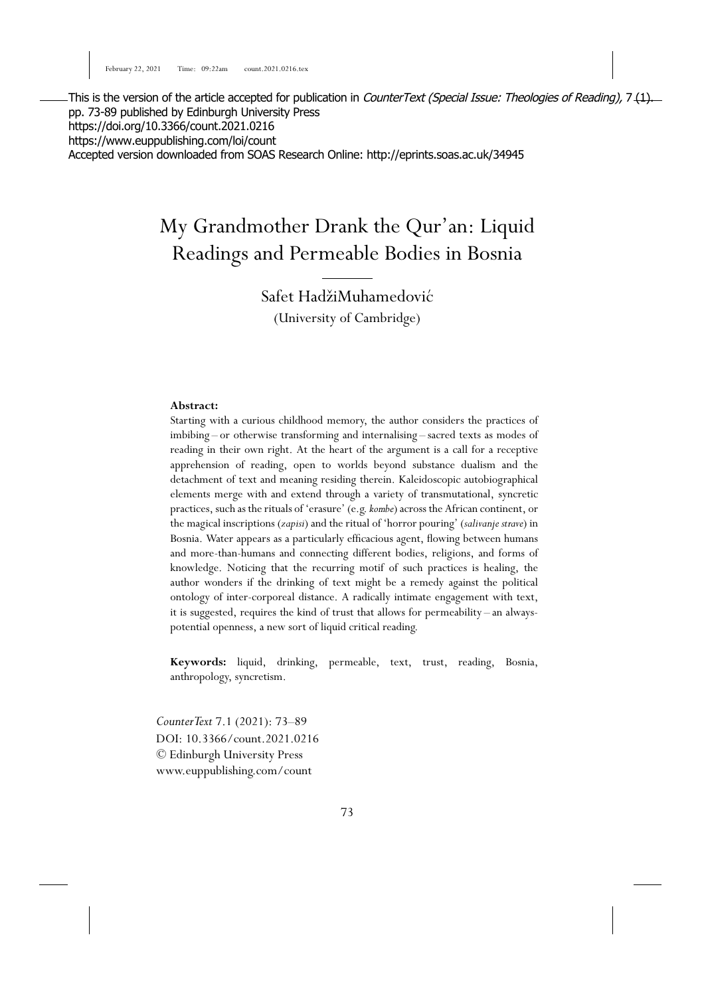This is the version of the article accepted for publication in *CounterText (Special Issue: Theologies of Reading)*, 7 (1). pp. 73-89 published by Edinburgh University Press https://doi.org/10.3366/count.2021.0216 https://www.euppublishing.com/loi/count Accepted version downloaded from SOAS Research Online: http://eprints.soas.ac.uk/34945

# My Grandmother Drank the Qur'an: Liquid Readings and Permeable Bodies in Bosnia

Safet HadžiMuhamedović (University of Cambridge)

#### **Abstract:**

Starting with a curious childhood memory, the author considers the practices of imbibing – or otherwise transforming and internalising – sacred texts as modes of reading in their own right. At the heart of the argument is a call for a receptive apprehension of reading, open to worlds beyond substance dualism and the detachment of text and meaning residing therein. Kaleidoscopic autobiographical elements merge with and extend through a variety of transmutational, syncretic practices, such as the rituals of 'erasure' (e.g.*kombe*) across the African continent, or the magical inscriptions (*zapisi*) and the ritual of 'horror pouring' (*salivanje strave*) in Bosnia. Water appears as a particularly efficacious agent, flowing between humans and more-than-humans and connecting different bodies, religions, and forms of knowledge. Noticing that the recurring motif of such practices is healing, the author wonders if the drinking of text might be a remedy against the political ontology of inter-corporeal distance. A radically intimate engagement with text, it is suggested, requires the kind of trust that allows for permeability – an alwayspotential openness, a new sort of liquid critical reading.

**Keywords:** liquid, drinking, permeable, text, trust, reading, Bosnia, anthropology, syncretism.

*CounterText* 7.1 (2021): 73–89 DOI: 10.3366/count.2021.0216 © Edinburgh University Press www.euppublishing.com/count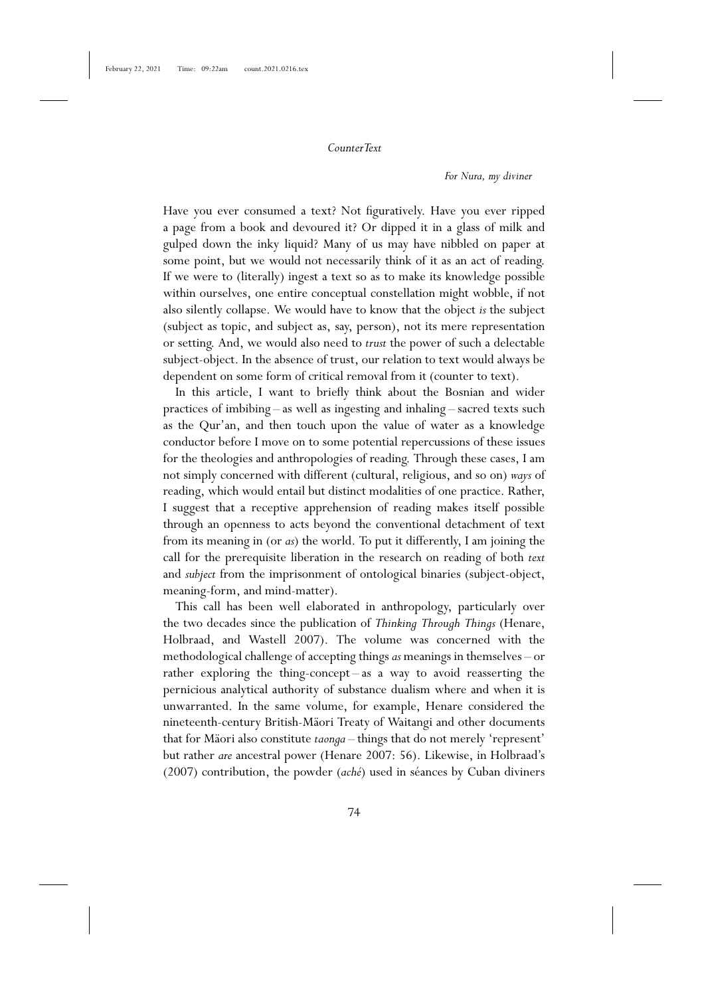*For Nura, my diviner*

Have you ever consumed a text? Not figuratively. Have you ever ripped a page from a book and devoured it? Or dipped it in a glass of milk and gulped down the inky liquid? Many of us may have nibbled on paper at some point, but we would not necessarily think of it as an act of reading. If we were to (literally) ingest a text so as to make its knowledge possible within ourselves, one entire conceptual constellation might wobble, if not also silently collapse. We would have to know that the object *is* the subject (subject as topic, and subject as, say, person), not its mere representation or setting. And, we would also need to *trust* the power of such a delectable subject-object. In the absence of trust, our relation to text would always be dependent on some form of critical removal from it (counter to text).

In this article, I want to briefly think about the Bosnian and wider practices of imbibing – as well as ingesting and inhaling – sacred texts such as the Qur'an, and then touch upon the value of water as a knowledge conductor before I move on to some potential repercussions of these issues for the theologies and anthropologies of reading. Through these cases, I am not simply concerned with different (cultural, religious, and so on) *ways* of reading, which would entail but distinct modalities of one practice. Rather, I suggest that a receptive apprehension of reading makes itself possible through an openness to acts beyond the conventional detachment of text from its meaning in (or *as*) the world. To put it differently, I am joining the call for the prerequisite liberation in the research on reading of both *text* and *subject* from the imprisonment of ontological binaries (subject-object, meaning-form, and mind-matter).

This call has been well elaborated in anthropology, particularly over the two decades since the publication of *Thinking Through Things* (Henare, Holbraad, and Wastell 2007). The volume was concerned with the methodological challenge of accepting things*as* meanings in themselves – or rather exploring the thing-concept – as a way to avoid reasserting the pernicious analytical authority of substance dualism where and when it is unwarranted. In the same volume, for example, Henare considered the nineteenth-century British-Mäori Treaty of Waitangi and other documents that for Mäori also constitute *taonga* – things that do not merely 'represent' but rather *are* ancestral power (Henare 2007: 56). Likewise, in Holbraad's (2007) contribution, the powder (*aché*) used in séances by Cuban diviners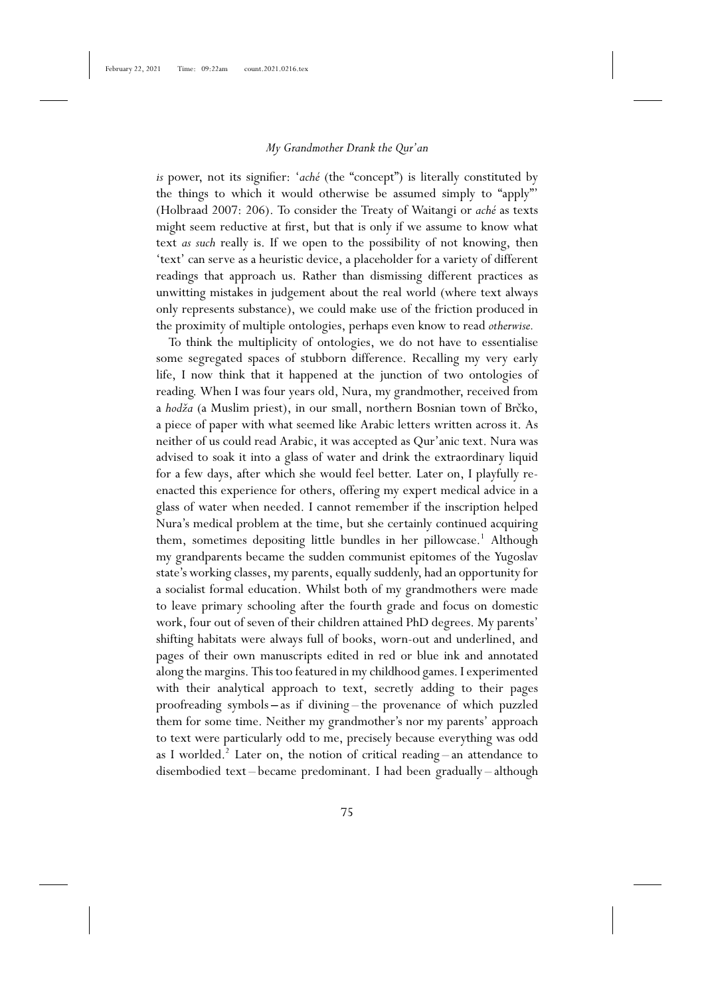*is* power, not its signifier: '*aché* (the "concept") is literally constituted by the things to which it would otherwise be assumed simply to "apply"' (Holbraad 2007: 206). To consider the Treaty of Waitangi or *aché* as texts might seem reductive at first, but that is only if we assume to know what text *as such* really is. If we open to the possibility of not knowing, then 'text' can serve as a heuristic device, a placeholder for a variety of different readings that approach us. Rather than dismissing different practices as unwitting mistakes in judgement about the real world (where text always only represents substance), we could make use of the friction produced in the proximity of multiple ontologies, perhaps even know to read *otherwise.*

To think the multiplicity of ontologies, we do not have to essentialise some segregated spaces of stubborn difference. Recalling my very early life, I now think that it happened at the junction of two ontologies of reading. When I was four years old, Nura, my grandmother, received from a *hodža* (a Muslim priest), in our small, northern Bosnian town of Brčko, a piece of paper with what seemed like Arabic letters written across it. As neither of us could read Arabic, it was accepted as Qur'anic text. Nura was advised to soak it into a glass of water and drink the extraordinary liquid for a few days, after which she would feel better. Later on, I playfully reenacted this experience for others, offering my expert medical advice in a glass of water when needed. I cannot remember if the inscription helped Nura's medical problem at the time, but she certainly continued acquiring them, sometimes depositing little bundles in her pillowcase.<sup>1</sup> Although my grandparents became the sudden communist epitomes of the Yugoslav state's working classes, my parents, equally suddenly, had an opportunity for a socialist formal education. Whilst both of my grandmothers were made to leave primary schooling after the fourth grade and focus on domestic work, four out of seven of their children attained PhD degrees. My parents' shifting habitats were always full of books, worn-out and underlined, and pages of their own manuscripts edited in red or blue ink and annotated along the margins. This too featured in my childhood games. I experimented with their analytical approach to text, secretly adding to their pages proofreading symbols **–** as if divining – the provenance of which puzzled them for some time. Neither my grandmother's nor my parents' approach to text were particularly odd to me, precisely because everything was odd as I worlded.<sup>2</sup> Later on, the notion of critical reading – an attendance to disembodied text – became predominant. I had been gradually – although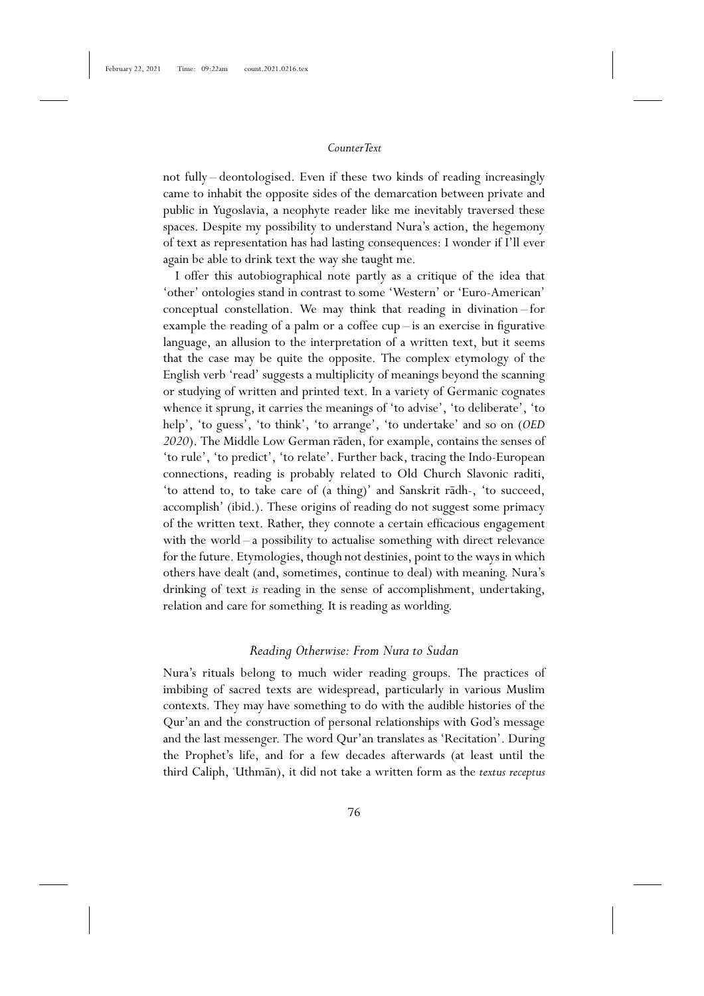not fully – deontologised. Even if these two kinds of reading increasingly came to inhabit the opposite sides of the demarcation between private and public in Yugoslavia, a neophyte reader like me inevitably traversed these spaces. Despite my possibility to understand Nura's action, the hegemony of text as representation has had lasting consequences: I wonder if I'll ever again be able to drink text the way she taught me.

I offer this autobiographical note partly as a critique of the idea that 'other' ontologies stand in contrast to some 'Western' or 'Euro-American' conceptual constellation. We may think that reading in divination – for example the reading of a palm or a coffee cup – is an exercise in figurative language, an allusion to the interpretation of a written text, but it seems that the case may be quite the opposite. The complex etymology of the English verb 'read' suggests a multiplicity of meanings beyond the scanning or studying of written and printed text. In a variety of Germanic cognates whence it sprung, it carries the meanings of 'to advise', 'to deliberate', 'to help', 'to guess', 'to think', 'to arrange', 'to undertake' and so on (*OED 2020*). The Middle Low German raden, for example, contains the senses of 'to rule', 'to predict', 'to relate'. Further back, tracing the Indo-European connections, reading is probably related to Old Church Slavonic raditi, 'to attend to, to take care of (a thing)' and Sanskrit r¯adh-, 'to succeed, accomplish' (ibid.). These origins of reading do not suggest some primacy of the written text. Rather, they connote a certain efficacious engagement with the world – a possibility to actualise something with direct relevance for the future. Etymologies, though not destinies, point to the ways in which others have dealt (and, sometimes, continue to deal) with meaning. Nura's drinking of text *is* reading in the sense of accomplishment, undertaking, relation and care for something. It is reading as worlding.

# *Reading Otherwise: From Nura to Sudan*

Nura's rituals belong to much wider reading groups. The practices of imbibing of sacred texts are widespread, particularly in various Muslim contexts. They may have something to do with the audible histories of the Qur'an and the construction of personal relationships with God's message and the last messenger. The word Qur'an translates as 'Recitation'. During the Prophet's life, and for a few decades afterwards (at least until the third Caliph, 'Uthman), it did not take a written form as the *textus receptus*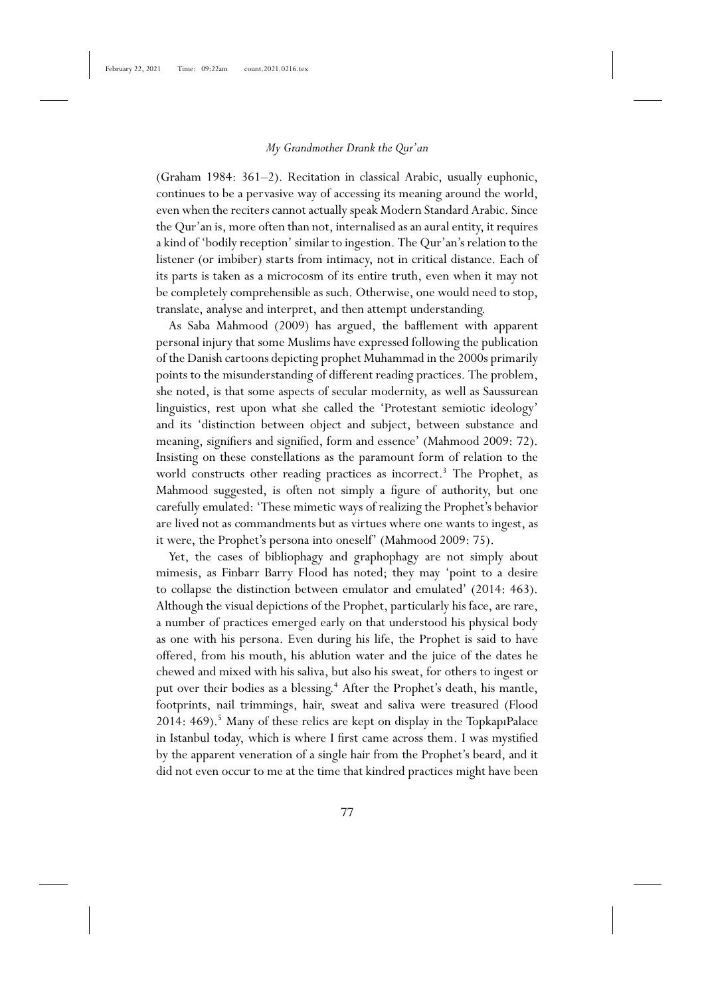(Graham 1984: 361–2). Recitation in classical Arabic, usually euphonic, continues to be a pervasive way of accessing its meaning around the world, even when the reciters cannot actually speak Modern Standard Arabic. Since the Qur'an is, more often than not, internalised as an aural entity, it requires a kind of 'bodily reception' similar to ingestion. The Qur'an's relation to the listener (or imbiber) starts from intimacy, not in critical distance. Each of its parts is taken as a microcosm of its entire truth, even when it may not be completely comprehensible as such. Otherwise, one would need to stop, translate, analyse and interpret, and then attempt understanding.

As Saba Mahmood (2009) has argued, the bafflement with apparent personal injury that some Muslims have expressed following the publication of the Danish cartoons depicting prophet Muhammad in the 2000s primarily points to the misunderstanding of different reading practices. The problem, she noted, is that some aspects of secular modernity, as well as Saussurean linguistics, rest upon what she called the 'Protestant semiotic ideology' and its 'distinction between object and subject, between substance and meaning, signifiers and signified, form and essence' (Mahmood 2009: 72). Insisting on these constellations as the paramount form of relation to the world constructs other reading practices as incorrect.<sup>3</sup> The Prophet, as Mahmood suggested, is often not simply a figure of authority, but one carefully emulated: 'These mimetic ways of realizing the Prophet's behavior are lived not as commandments but as virtues where one wants to ingest, as it were, the Prophet's persona into oneself' (Mahmood 2009: 75).

Yet, the cases of bibliophagy and graphophagy are not simply about mimesis, as Finbarr Barry Flood has noted; they may 'point to a desire to collapse the distinction between emulator and emulated' (2014: 463). Although the visual depictions of the Prophet, particularly his face, are rare, a number of practices emerged early on that understood his physical body as one with his persona. Even during his life, the Prophet is said to have offered, from his mouth, his ablution water and the juice of the dates he chewed and mixed with his saliva, but also his sweat, for others to ingest or put over their bodies as a blessing.<sup>4</sup> After the Prophet's death, his mantle, footprints, nail trimmings, hair, sweat and saliva were treasured (Flood 2014: 469).<sup>5</sup> Many of these relics are kept on display in the TopkapıPalace in Istanbul today, which is where I first came across them. I was mystified by the apparent veneration of a single hair from the Prophet's beard, and it did not even occur to me at the time that kindred practices might have been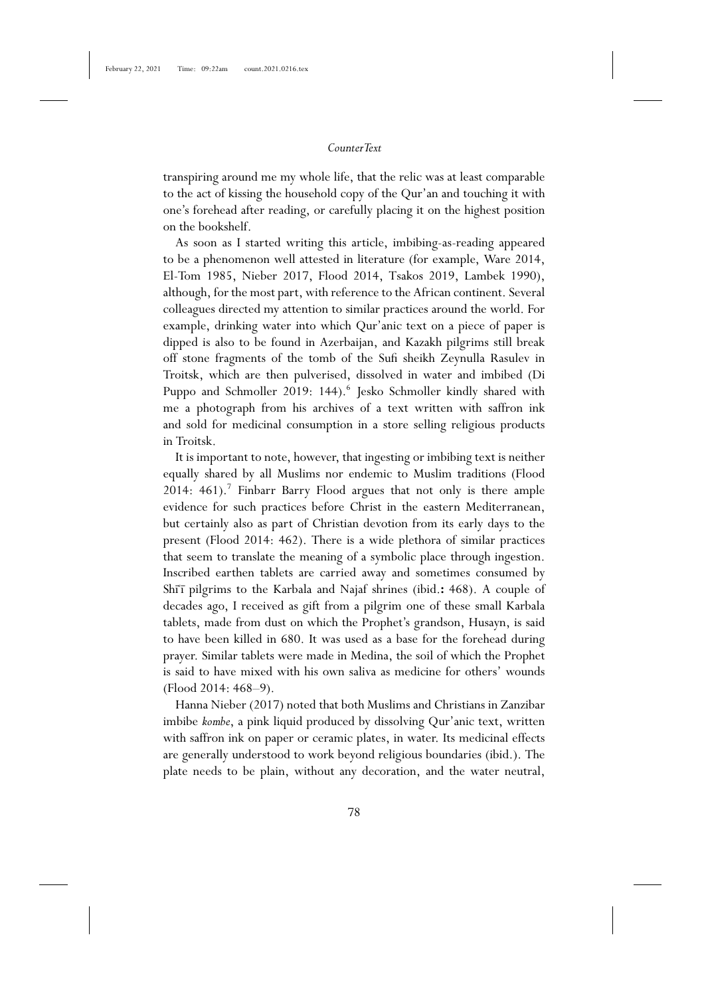transpiring around me my whole life, that the relic was at least comparable to the act of kissing the household copy of the Qur'an and touching it with one's forehead after reading, or carefully placing it on the highest position on the bookshelf.

As soon as I started writing this article, imbibing-as-reading appeared to be a phenomenon well attested in literature (for example, Ware 2014, El-Tom 1985, Nieber 2017, Flood 2014, Tsakos 2019, Lambek 1990), although, for the most part, with reference to the African continent. Several colleagues directed my attention to similar practices around the world. For example, drinking water into which Qur'anic text on a piece of paper is dipped is also to be found in Azerbaijan, and Kazakh pilgrims still break off stone fragments of the tomb of the Sufi sheikh Zeynulla Rasulev in Troitsk, which are then pulverised, dissolved in water and imbibed (Di Puppo and Schmoller 2019: 144).<sup>6</sup> Jesko Schmoller kindly shared with me a photograph from his archives of a text written with saffron ink and sold for medicinal consumption in a store selling religious products in Troitsk.

It is important to note, however, that ingesting or imbibing text is neither equally shared by all Muslims nor endemic to Muslim traditions (Flood  $2014: 461$ . Finbarr Barry Flood argues that not only is there ample evidence for such practices before Christ in the eastern Mediterranean, but certainly also as part of Christian devotion from its early days to the present (Flood 2014: 462). There is a wide plethora of similar practices that seem to translate the meaning of a symbolic place through ingestion. Inscribed earthen tablets are carried away and sometimes consumed by Shi<sup>T</sup> pilgrims to the Karbala and Najaf shrines (ibid.: 468). A couple of decades ago, I received as gift from a pilgrim one of these small Karbala tablets, made from dust on which the Prophet's grandson, Husayn, is said to have been killed in 680. It was used as a base for the forehead during prayer. Similar tablets were made in Medina, the soil of which the Prophet is said to have mixed with his own saliva as medicine for others' wounds (Flood 2014: 468–9).

Hanna Nieber (2017) noted that both Muslims and Christians in Zanzibar imbibe *kombe*, a pink liquid produced by dissolving Qur'anic text, written with saffron ink on paper or ceramic plates, in water. Its medicinal effects are generally understood to work beyond religious boundaries (ibid.). The plate needs to be plain, without any decoration, and the water neutral,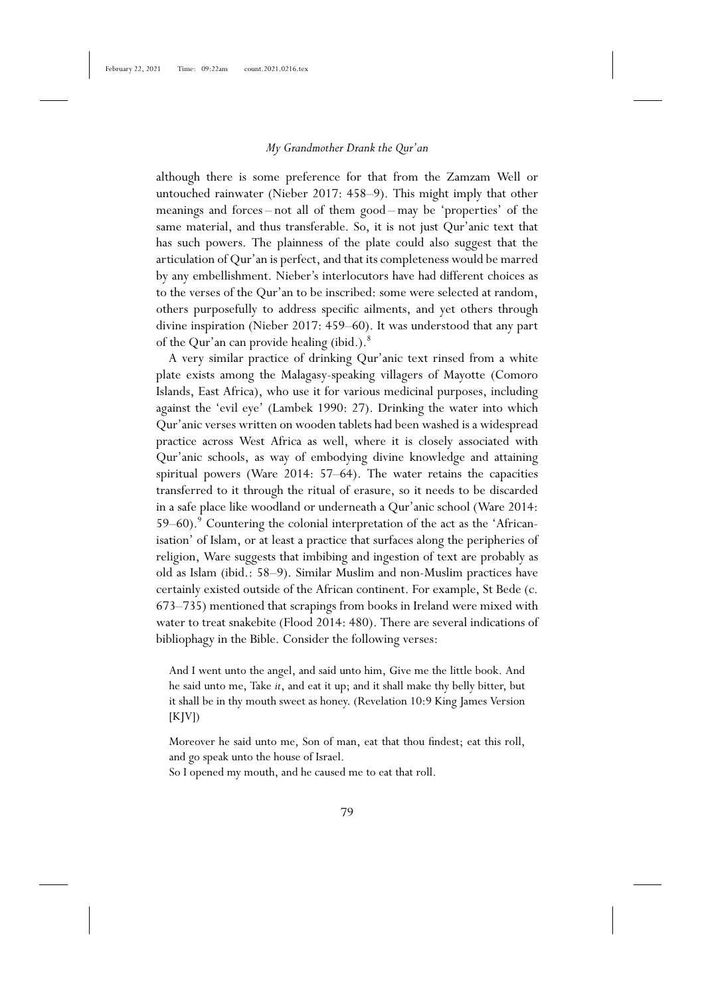although there is some preference for that from the Zamzam Well or untouched rainwater (Nieber 2017: 458–9). This might imply that other meanings and forces – not all of them good – may be 'properties' of the same material, and thus transferable. So, it is not just Qur'anic text that has such powers. The plainness of the plate could also suggest that the articulation of Qur'an is perfect, and that its completeness would be marred by any embellishment. Nieber's interlocutors have had different choices as to the verses of the Qur'an to be inscribed: some were selected at random, others purposefully to address specific ailments, and yet others through divine inspiration (Nieber 2017: 459–60). It was understood that any part of the Qur'an can provide healing (ibid.).<sup>8</sup>

A very similar practice of drinking Qur'anic text rinsed from a white plate exists among the Malagasy-speaking villagers of Mayotte (Comoro Islands, East Africa), who use it for various medicinal purposes, including against the 'evil eye' (Lambek 1990: 27). Drinking the water into which Qur'anic verses written on wooden tablets had been washed is a widespread practice across West Africa as well, where it is closely associated with Qur'anic schools, as way of embodying divine knowledge and attaining spiritual powers (Ware 2014: 57–64). The water retains the capacities transferred to it through the ritual of erasure, so it needs to be discarded in a safe place like woodland or underneath a Qur'anic school (Ware 2014: 59–60).<sup>9</sup> Countering the colonial interpretation of the act as the 'Africanisation' of Islam, or at least a practice that surfaces along the peripheries of religion, Ware suggests that imbibing and ingestion of text are probably as old as Islam (ibid.: 58–9). Similar Muslim and non-Muslim practices have certainly existed outside of the African continent. For example, St Bede (c. 673–735) mentioned that scrapings from books in Ireland were mixed with water to treat snakebite (Flood 2014: 480). There are several indications of bibliophagy in the Bible. Consider the following verses:

And I went unto the angel, and said unto him, Give me the little book. And he said unto me, Take *it*, and eat it up; and it shall make thy belly bitter, but it shall be in thy mouth sweet as honey. (Revelation 10:9 King James Version  $[K]V$ ])

Moreover he said unto me, Son of man, eat that thou findest; eat this roll, and go speak unto the house of Israel.

So I opened my mouth, and he caused me to eat that roll.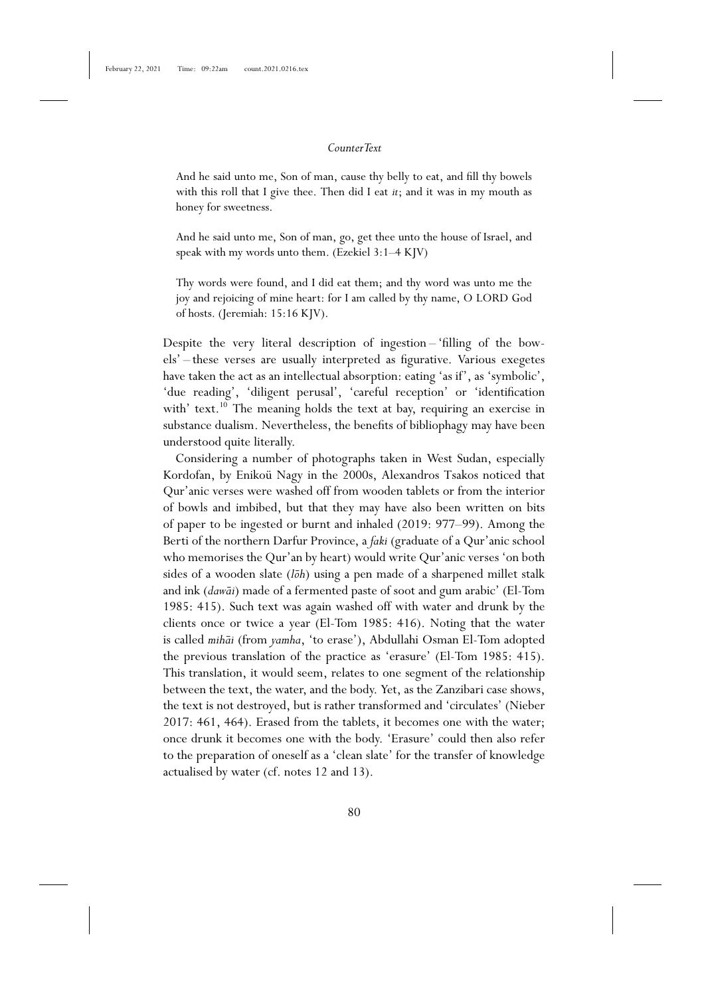And he said unto me, Son of man, cause thy belly to eat, and fill thy bowels with this roll that I give thee. Then did I eat *it*; and it was in my mouth as honey for sweetness.

And he said unto me, Son of man, go, get thee unto the house of Israel, and speak with my words unto them. (Ezekiel 3:1–4 KJV)

Thy words were found, and I did eat them; and thy word was unto me the joy and rejoicing of mine heart: for I am called by thy name, O LORD God of hosts. (Jeremiah: 15:16 KJV).

Despite the very literal description of ingestion – 'filling of the bowels' – these verses are usually interpreted as figurative. Various exegetes have taken the act as an intellectual absorption: eating 'as if', as 'symbolic', 'due reading', 'diligent perusal', 'careful reception' or 'identification with' text.<sup>10</sup> The meaning holds the text at bay, requiring an exercise in substance dualism. Nevertheless, the benefits of bibliophagy may have been understood quite literally.

Considering a number of photographs taken in West Sudan, especially Kordofan, by Enikoü Nagy in the 2000s, Alexandros Tsakos noticed that Qur'anic verses were washed off from wooden tablets or from the interior of bowls and imbibed, but that they may have also been written on bits of paper to be ingested or burnt and inhaled (2019: 977–99). Among the Berti of the northern Darfur Province, a *faki* (graduate of a Qur'anic school who memorises the Qur'an by heart) would write Qur'anic verses 'on both sides of a wooden slate (*loh*) using a pen made of a sharpened millet stalk and ink (*daw¯ai*) made of a fermented paste of soot and gum arabic' (El-Tom 1985: 415). Such text was again washed off with water and drunk by the clients once or twice a year (El-Tom 1985: 416). Noting that the water is called *mih¯ai* (from *yamha*, 'to erase'), Abdullahi Osman El-Tom adopted the previous translation of the practice as 'erasure' (El-Tom 1985: 415). This translation, it would seem, relates to one segment of the relationship between the text, the water, and the body. Yet, as the Zanzibari case shows, the text is not destroyed, but is rather transformed and 'circulates' (Nieber 2017: 461, 464). Erased from the tablets, it becomes one with the water; once drunk it becomes one with the body. 'Erasure' could then also refer to the preparation of oneself as a 'clean slate' for the transfer of knowledge actualised by water (cf. notes 12 and 13).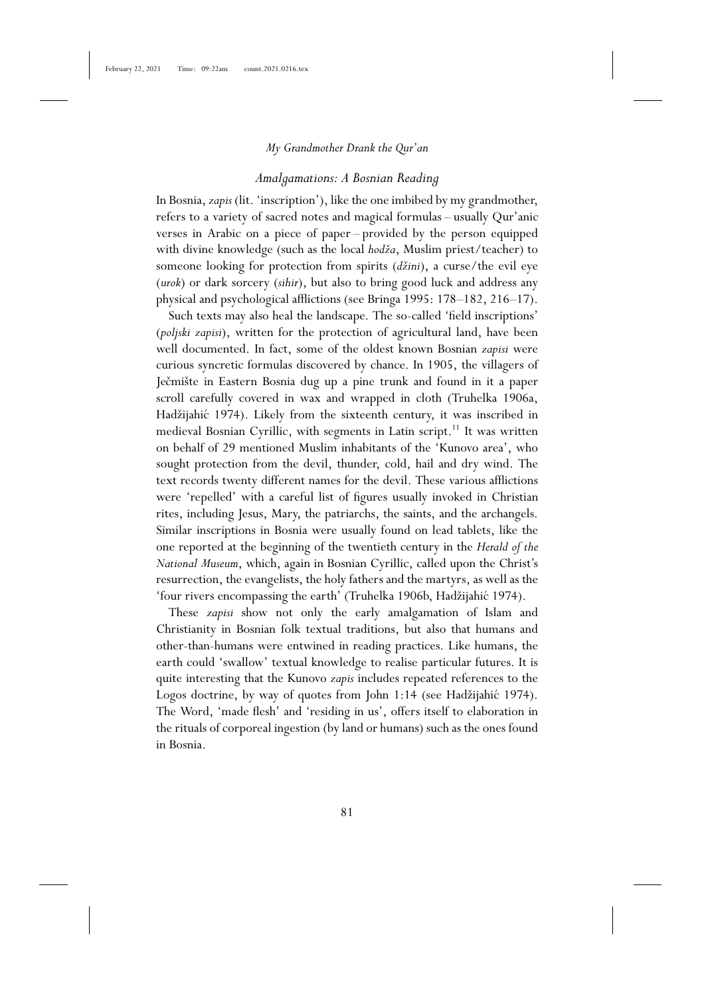#### *Amalgamations: A Bosnian Reading*

In Bosnia, *zapis* (lit. 'inscription'), like the one imbibed by my grandmother, refers to a variety of sacred notes and magical formulas – usually Qur'anic verses in Arabic on a piece of paper – provided by the person equipped with divine knowledge (such as the local *hodža*, Muslim priest/teacher) to someone looking for protection from spirits (*džini*), a curse/the evil eye (*urok*) or dark sorcery (*sihir*), but also to bring good luck and address any physical and psychological afflictions (see Bringa 1995: 178–182, 216–17).

Such texts may also heal the landscape. The so-called 'field inscriptions' (*poljski zapisi*), written for the protection of agricultural land, have been well documented. In fact, some of the oldest known Bosnian *zapisi* were curious syncretic formulas discovered by chance. In 1905, the villagers of Ječmište in Eastern Bosnia dug up a pine trunk and found in it a paper scroll carefully covered in wax and wrapped in cloth (Truhelka 1906a, Hadžijahić 1974). Likely from the sixteenth century, it was inscribed in medieval Bosnian Cyrillic, with segments in Latin script.<sup>11</sup> It was written on behalf of 29 mentioned Muslim inhabitants of the 'Kunovo area', who sought protection from the devil, thunder, cold, hail and dry wind. The text records twenty different names for the devil. These various afflictions were 'repelled' with a careful list of figures usually invoked in Christian rites, including Jesus, Mary, the patriarchs, the saints, and the archangels. Similar inscriptions in Bosnia were usually found on lead tablets, like the one reported at the beginning of the twentieth century in the *Herald of the National Museum*, which, again in Bosnian Cyrillic, called upon the Christ's resurrection, the evangelists, the holy fathers and the martyrs, as well as the 'four rivers encompassing the earth' (Truhelka 1906b, Hadžijahić 1974).

These *zapisi* show not only the early amalgamation of Islam and Christianity in Bosnian folk textual traditions, but also that humans and other-than-humans were entwined in reading practices. Like humans, the earth could 'swallow' textual knowledge to realise particular futures. It is quite interesting that the Kunovo *zapis* includes repeated references to the Logos doctrine, by way of quotes from John 1:14 (see Hadžijahić 1974). The Word, 'made flesh' and 'residing in us', offers itself to elaboration in the rituals of corporeal ingestion (by land or humans) such as the ones found in Bosnia.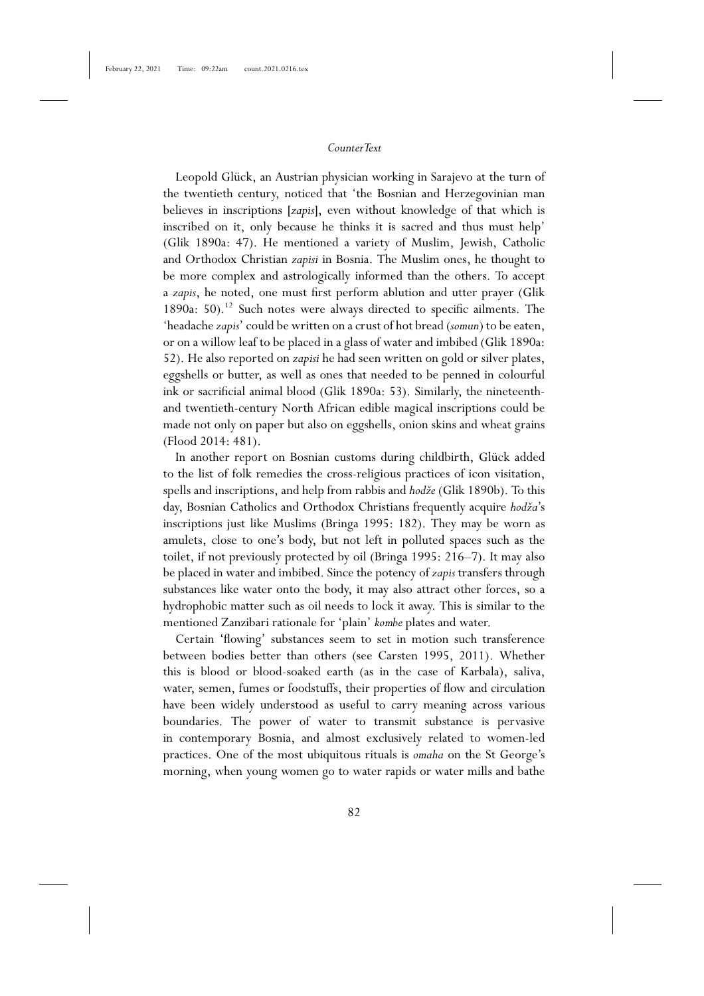Leopold Glück, an Austrian physician working in Sarajevo at the turn of the twentieth century, noticed that 'the Bosnian and Herzegovinian man believes in inscriptions [*zapis*], even without knowledge of that which is inscribed on it, only because he thinks it is sacred and thus must help' (Glik 1890a: 47). He mentioned a variety of Muslim, Jewish, Catholic and Orthodox Christian *zapisi* in Bosnia. The Muslim ones, he thought to be more complex and astrologically informed than the others. To accept a *zapis*, he noted, one must first perform ablution and utter prayer (Glik 1890a: 50).<sup>12</sup> Such notes were always directed to specific ailments. The 'headache *zapis*' could be written on a crust of hot bread (*somun*) to be eaten, or on a willow leaf to be placed in a glass of water and imbibed (Glik 1890a: 52). He also reported on *zapisi* he had seen written on gold or silver plates, eggshells or butter, as well as ones that needed to be penned in colourful ink or sacrificial animal blood (Glik 1890a: 53). Similarly, the nineteenthand twentieth-century North African edible magical inscriptions could be made not only on paper but also on eggshells, onion skins and wheat grains (Flood 2014: 481).

In another report on Bosnian customs during childbirth, Glück added to the list of folk remedies the cross-religious practices of icon visitation, spells and inscriptions, and help from rabbis and *hodže* (Glik 1890b). To this day, Bosnian Catholics and Orthodox Christians frequently acquire *hodža*'s inscriptions just like Muslims (Bringa 1995: 182). They may be worn as amulets, close to one's body, but not left in polluted spaces such as the toilet, if not previously protected by oil (Bringa 1995: 216–7). It may also be placed in water and imbibed. Since the potency of *zapis* transfers through substances like water onto the body, it may also attract other forces, so a hydrophobic matter such as oil needs to lock it away. This is similar to the mentioned Zanzibari rationale for 'plain' *kombe* plates and water.

Certain 'flowing' substances seem to set in motion such transference between bodies better than others (see Carsten 1995, 2011). Whether this is blood or blood-soaked earth (as in the case of Karbala), saliva, water, semen, fumes or foodstuffs, their properties of flow and circulation have been widely understood as useful to carry meaning across various boundaries. The power of water to transmit substance is pervasive in contemporary Bosnia, and almost exclusively related to women-led practices. One of the most ubiquitous rituals is *omaha* on the St George's morning, when young women go to water rapids or water mills and bathe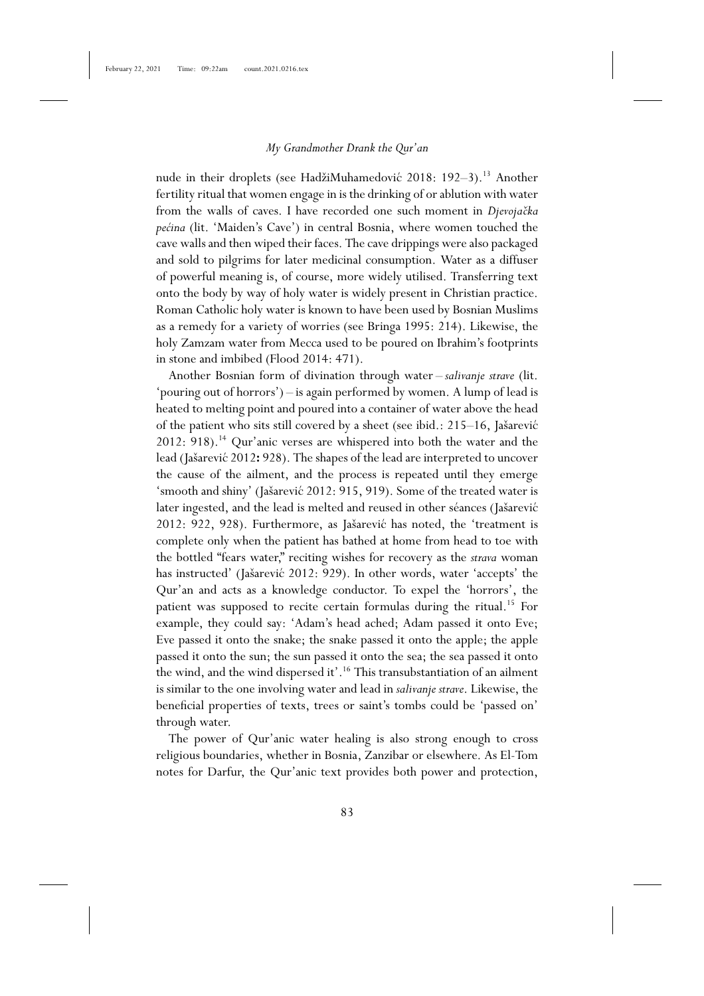nude in their droplets (see HadžiMuhamedović 2018: 192-3).<sup>13</sup> Another fertility ritual that women engage in is the drinking of or ablution with water from the walls of caves. I have recorded one such moment in *Djevojačka pećina* (lit. 'Maiden's Cave') in central Bosnia, where women touched the cave walls and then wiped their faces. The cave drippings were also packaged and sold to pilgrims for later medicinal consumption. Water as a diffuser of powerful meaning is, of course, more widely utilised. Transferring text onto the body by way of holy water is widely present in Christian practice. Roman Catholic holy water is known to have been used by Bosnian Muslims as a remedy for a variety of worries (see Bringa 1995: 214). Likewise, the holy Zamzam water from Mecca used to be poured on Ibrahim's footprints in stone and imbibed (Flood 2014: 471).

Another Bosnian form of divination through water – *salivanje strave* (lit. 'pouring out of horrors') – is again performed by women. A lump of lead is heated to melting point and poured into a container of water above the head of the patient who sits still covered by a sheet (see ibid.: 215–16, Jašarević  $2012: 918$ .<sup>14</sup> Qur'anic verses are whispered into both the water and the lead (Jašarević 2012: 928). The shapes of the lead are interpreted to uncover the cause of the ailment, and the process is repeated until they emerge 'smooth and shiny' (Jašarević 2012: 915, 919). Some of the treated water is later ingested, and the lead is melted and reused in other séances (Jašarević 2012: 922, 928). Furthermore, as Jašarević has noted, the 'treatment is complete only when the patient has bathed at home from head to toe with the bottled "fears water," reciting wishes for recovery as the *strava* woman has instructed' (Jašarević 2012: 929). In other words, water 'accepts' the Qur'an and acts as a knowledge conductor. To expel the 'horrors', the patient was supposed to recite certain formulas during the ritual.<sup>15</sup> For example, they could say: 'Adam's head ached; Adam passed it onto Eve; Eve passed it onto the snake; the snake passed it onto the apple; the apple passed it onto the sun; the sun passed it onto the sea; the sea passed it onto the wind, and the wind dispersed it'.<sup>16</sup> This transubstantiation of an ailment is similar to the one involving water and lead in *salivanje strave*. Likewise, the beneficial properties of texts, trees or saint's tombs could be 'passed on' through water.

The power of Qur'anic water healing is also strong enough to cross religious boundaries, whether in Bosnia, Zanzibar or elsewhere. As El-Tom notes for Darfur, the Qur'anic text provides both power and protection,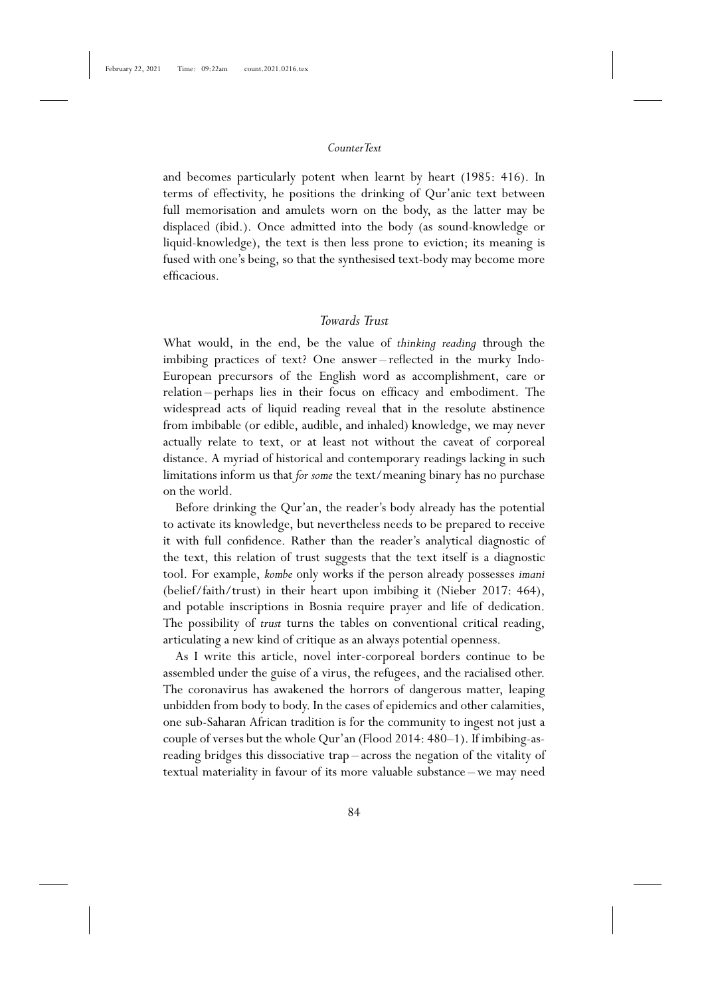and becomes particularly potent when learnt by heart (1985: 416). In terms of effectivity, he positions the drinking of Qur'anic text between full memorisation and amulets worn on the body, as the latter may be displaced (ibid.). Once admitted into the body (as sound-knowledge or liquid-knowledge), the text is then less prone to eviction; its meaning is fused with one's being, so that the synthesised text-body may become more efficacious.

# *Towards Trust*

What would, in the end, be the value of *thinking reading* through the imbibing practices of text? One answer – reflected in the murky Indo-European precursors of the English word as accomplishment, care or relation – perhaps lies in their focus on efficacy and embodiment. The widespread acts of liquid reading reveal that in the resolute abstinence from imbibable (or edible, audible, and inhaled) knowledge, we may never actually relate to text, or at least not without the caveat of corporeal distance. A myriad of historical and contemporary readings lacking in such limitations inform us that *for some* the text/meaning binary has no purchase on the world.

Before drinking the Qur'an, the reader's body already has the potential to activate its knowledge, but nevertheless needs to be prepared to receive it with full confidence. Rather than the reader's analytical diagnostic of the text, this relation of trust suggests that the text itself is a diagnostic tool. For example, *kombe* only works if the person already possesses *imani* (belief/faith/trust) in their heart upon imbibing it (Nieber 2017: 464), and potable inscriptions in Bosnia require prayer and life of dedication. The possibility of *trust* turns the tables on conventional critical reading, articulating a new kind of critique as an always potential openness.

As I write this article, novel inter-corporeal borders continue to be assembled under the guise of a virus, the refugees, and the racialised other. The coronavirus has awakened the horrors of dangerous matter, leaping unbidden from body to body. In the cases of epidemics and other calamities, one sub-Saharan African tradition is for the community to ingest not just a couple of verses but the whole Qur'an (Flood 2014: 480–1). If imbibing-asreading bridges this dissociative trap – across the negation of the vitality of textual materiality in favour of its more valuable substance – we may need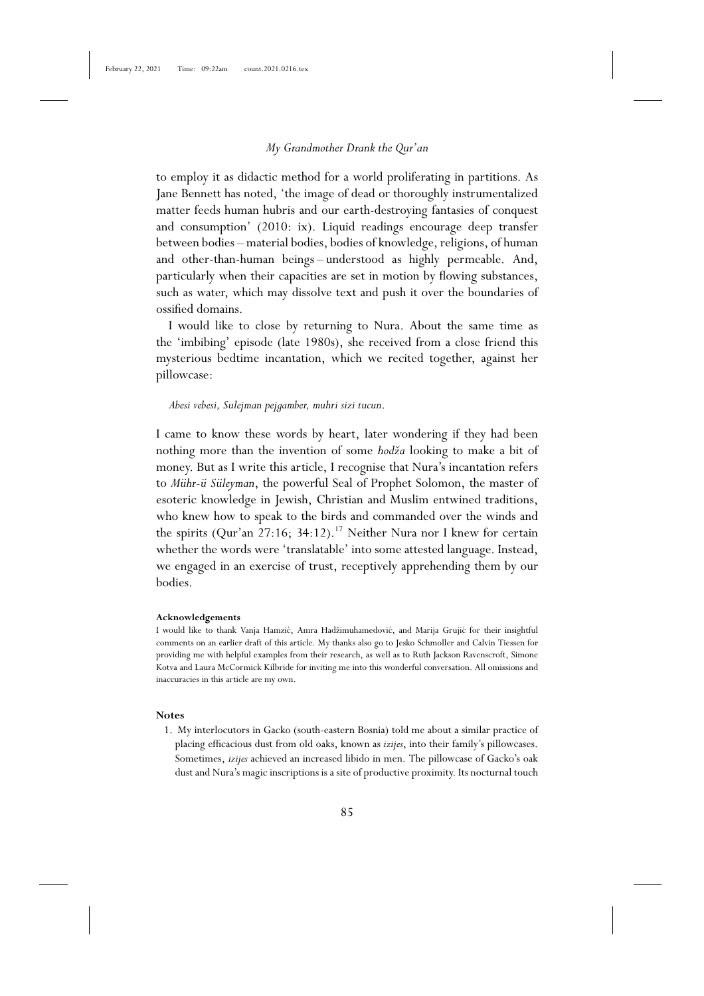to employ it as didactic method for a world proliferating in partitions. As Jane Bennett has noted, 'the image of dead or thoroughly instrumentalized matter feeds human hubris and our earth-destroying fantasies of conquest and consumption' (2010: ix). Liquid readings encourage deep transfer between bodies – material bodies, bodies of knowledge, religions, of human and other-than-human beings – understood as highly permeable. And, particularly when their capacities are set in motion by flowing substances, such as water, which may dissolve text and push it over the boundaries of ossified domains.

I would like to close by returning to Nura. About the same time as the 'imbibing' episode (late 1980s), she received from a close friend this mysterious bedtime incantation, which we recited together, against her pillowcase:

#### *Abesi vebesi, Sulejman pejgamber, muhri sizi tucun*.

I came to know these words by heart, later wondering if they had been nothing more than the invention of some *hodža* looking to make a bit of money. But as I write this article, I recognise that Nura's incantation refers to *Mühr-ü Süleyman*, the powerful Seal of Prophet Solomon, the master of esoteric knowledge in Jewish, Christian and Muslim entwined traditions, who knew how to speak to the birds and commanded over the winds and the spirits (Qur'an 27:16; 34:12).<sup>17</sup> Neither Nura nor I knew for certain whether the words were 'translatable' into some attested language. Instead, we engaged in an exercise of trust, receptively apprehending them by our bodies.

#### **Acknowledgements**

I would like to thank Vanja Hamzić, Amra Hadžimuhamedović, and Marija Grujić for their insightful comments on an earlier draft of this article. My thanks also go to Jesko Schmoller and Calvin Tiessen for providing me with helpful examples from their research, as well as to Ruth Jackson Ravenscroft, Simone Kotva and Laura McCormick Kilbride for inviting me into this wonderful conversation. All omissions and inaccuracies in this article are my own.

#### **Notes**

1. My interlocutors in Gacko (south-eastern Bosnia) told me about a similar practice of placing efficacious dust from old oaks, known as *izijes*, into their family's pillowcases. Sometimes, *izijes* achieved an increased libido in men. The pillowcase of Gacko's oak dust and Nura's magic inscriptions is a site of productive proximity. Its nocturnal touch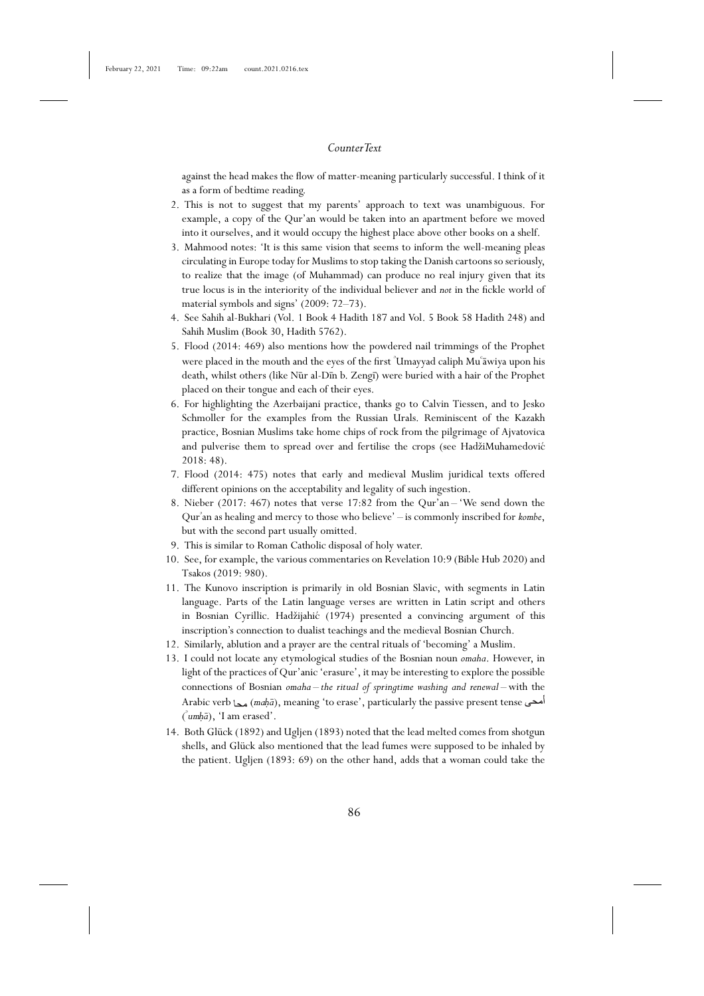against the head makes the flow of matter-meaning particularly successful. I think of it as a form of bedtime reading.

- 2. This is not to suggest that my parents' approach to text was unambiguous. For example, a copy of the Qur'an would be taken into an apartment before we moved into it ourselves, and it would occupy the highest place above other books on a shelf.
- 3. Mahmood notes: 'It is this same vision that seems to inform the well-meaning pleas circulating in Europe today for Muslims to stop taking the Danish cartoons so seriously, to realize that the image (of Muhammad) can produce no real injury given that its true locus is in the interiority of the individual believer and *not* in the fickle world of material symbols and signs' (2009: 72–73).
- 4. See Sahih al-Bukhari (Vol. 1 Book 4 Hadith 187 and Vol. 5 Book 58 Hadith 248) and Sahih Muslim (Book 30, Hadith 5762).
- 5. Flood (2014: 469) also mentions how the powdered nail trimmings of the Prophet were placed in the mouth and the eyes of the first <sup>"</sup>Umayyad caliph Muʿāwiya upon his death, whilst others (like Nūr al-Dīn b. Zengī) were buried with a hair of the Prophet placed on their tongue and each of their eyes.
- 6. For highlighting the Azerbaijani practice, thanks go to Calvin Tiessen, and to Jesko Schmoller for the examples from the Russian Urals. Reminiscent of the Kazakh practice, Bosnian Muslims take home chips of rock from the pilgrimage of Ajvatovica and pulverise them to spread over and fertilise the crops (see HadžiMuhamedović 2018: 48).
- 7. Flood (2014: 475) notes that early and medieval Muslim juridical texts offered different opinions on the acceptability and legality of such ingestion.
- 8. Nieber (2017: 467) notes that verse 17:82 from the Qur'an 'We send down the Qur'an as healing and mercy to those who believe' - is commonly inscribed for *kombe*, but with the second part usually omitted.
- 9. This is similar to Roman Catholic disposal of holy water.
- 10. See, for example, the various commentaries on Revelation 10:9 (Bible Hub 2020) and Tsakos (2019: 980).
- 11. The Kunovo inscription is primarily in old Bosnian Slavic, with segments in Latin language. Parts of the Latin language verses are written in Latin script and others in Bosnian Cyrillic. Hadžijahić (1974) presented a convincing argument of this inscription's connection to dualist teachings and the medieval Bosnian Church.
- 12. Similarly, ablution and a prayer are the central rituals of 'becoming' a Muslim.
- 13. I could not locate any etymological studies of the Bosnian noun *omaha*. However, in light of the practices of Qur'anic 'erasure', it may be interesting to explore the possible connections of Bosnian *omaha – the ritual of springtime washing and renewal* – with the Arabic verb محد), *meaning* 'to erase', particularly the passive present tense ( $\alpha$ umhā), 'I am erased'.
- 14. Both Glück (1892) and Ugljen (1893) noted that the lead melted comes from shotgun shells, and Glück also mentioned that the lead fumes were supposed to be inhaled by the patient. Ugljen (1893: 69) on the other hand, adds that a woman could take the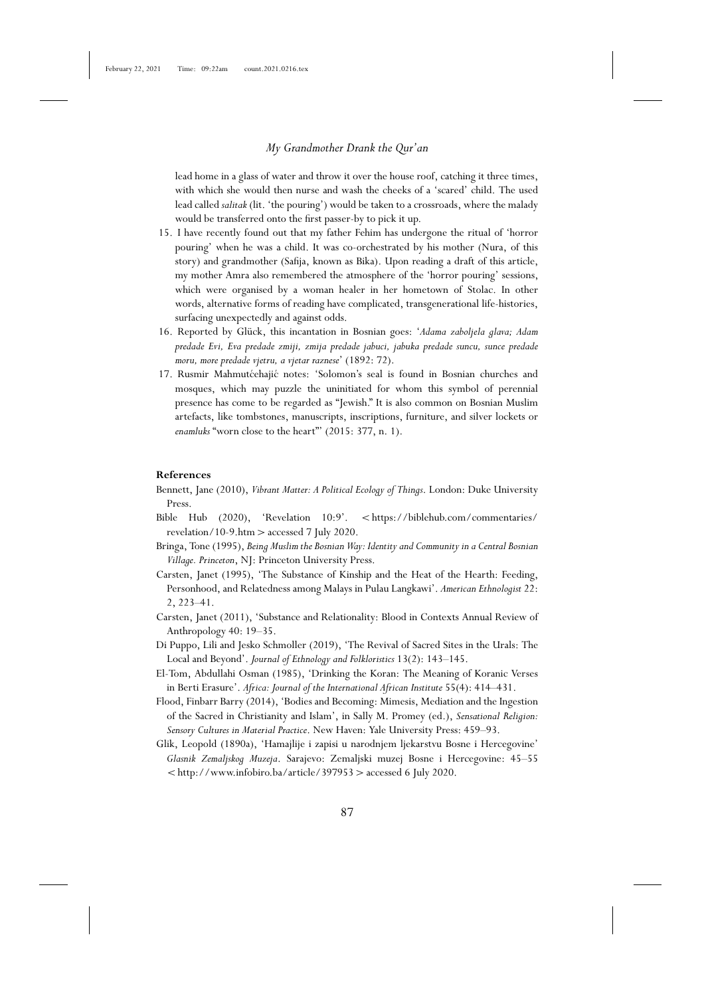lead home in a glass of water and throw it over the house roof, catching it three times, with which she would then nurse and wash the cheeks of a 'scared' child. The used lead called *salitak* (lit. 'the pouring') would be taken to a crossroads, where the malady would be transferred onto the first passer-by to pick it up.

- 15. I have recently found out that my father Fehim has undergone the ritual of 'horror pouring' when he was a child. It was co-orchestrated by his mother (Nura, of this story) and grandmother (Safija, known as Bika). Upon reading a draft of this article, my mother Amra also remembered the atmosphere of the 'horror pouring' sessions, which were organised by a woman healer in her hometown of Stolac. In other words, alternative forms of reading have complicated, transgenerational life-histories, surfacing unexpectedly and against odds.
- 16. Reported by Glück, this incantation in Bosnian goes: '*Adama zaboljela glava; Adam predade Evi, Eva predade zmiji, zmija predade jabuci, jabuka predade suncu, sunce predade moru, more predade vjetru, a vjetar raznese*' (1892: 72).
- 17. Rusmir Mahmutćehajić notes: 'Solomon's seal is found in Bosnian churches and mosques, which may puzzle the uninitiated for whom this symbol of perennial presence has come to be regarded as "Jewish." It is also common on Bosnian Muslim artefacts, like tombstones, manuscripts, inscriptions, furniture, and silver lockets or *enamluks* "worn close to the heart"' (2015: 377, n. 1).

#### **References**

- Bennett, Jane (2010), *Vibrant Matter: A Political Ecology of Things*. London: Duke University Press.
- Bible Hub (2020), 'Revelation 10:9'. <https://biblehub.com/commentaries/ revelation/10-9.htm>accessed 7 July 2020.
- Bringa, Tone (1995), *Being Muslim the Bosnian Way: Identity and Community in a Central Bosnian Village. Princeton*, NJ: Princeton University Press.
- Carsten, Janet (1995), 'The Substance of Kinship and the Heat of the Hearth: Feeding, Personhood, and Relatedness among Malays in Pulau Langkawi'. *American Ethnologist* 22: 2, 223–41.
- Carsten, Janet (2011), 'Substance and Relationality: Blood in Contexts Annual Review of Anthropology 40: 19–35.
- Di Puppo, Lili and Jesko Schmoller (2019), 'The Revival of Sacred Sites in the Urals: The Local and Beyond'. *Journal of Ethnology and Folkloristics* 13(2): 143–145.
- El-Tom, Abdullahi Osman (1985), 'Drinking the Koran: The Meaning of Koranic Verses in Berti Erasure'. *Africa: Journal of the International African Institute* 55(4): 414–431.
- Flood, Finbarr Barry (2014), 'Bodies and Becoming: Mimesis, Mediation and the Ingestion of the Sacred in Christianity and Islam', in Sally M. Promey (ed.), *Sensational Religion: Sensory Cultures in Material Practice*. New Haven: Yale University Press: 459–93.
- Glik, Leopold (1890a), 'Hamajlije i zapisi u narodnjem ljekarstvu Bosne i Hercegovine' *Glasnik Zemaljskog Muzeja*. Sarajevo: Zemaljski muzej Bosne i Hercegovine: 45–55  $\langle$ http://www.infobiro.ba/article/397953 > accessed 6 July 2020.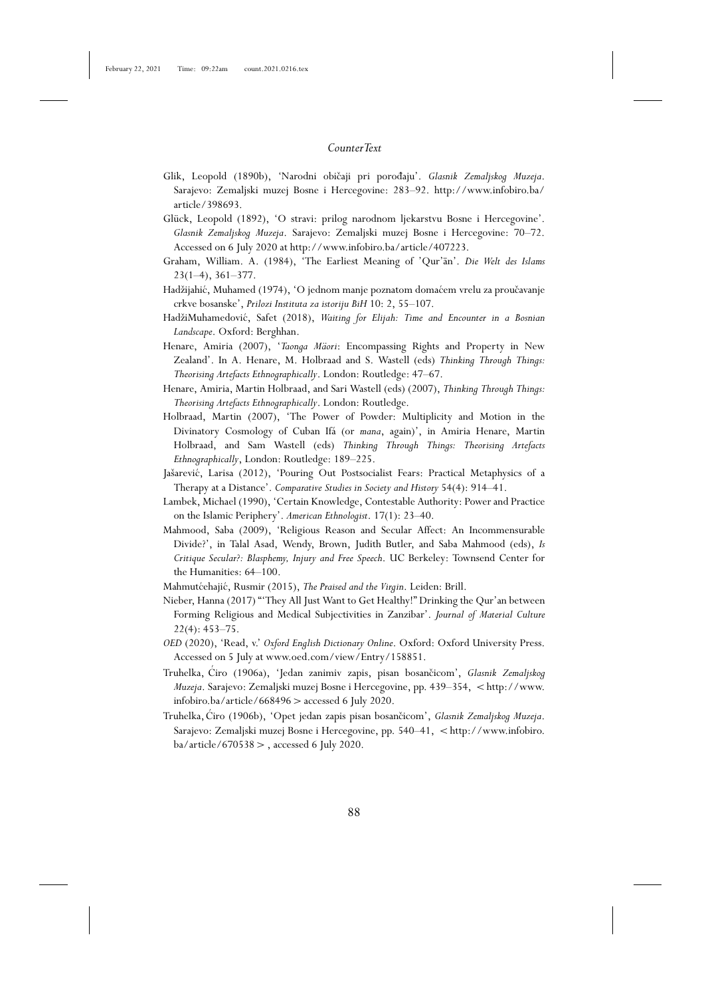- Glik, Leopold (1890b), 'Narodni običaji pri porođaju'. *Glasnik Zemaljskog Muzeja*. Sarajevo: Zemaljski muzej Bosne i Hercegovine: 283–92. http://www.infobiro.ba/ article/398693.
- Glück, Leopold (1892), 'O stravi: prilog narodnom ljekarstvu Bosne i Hercegovine'. *Glasnik Zemaljskog Muzeja*. Sarajevo: Zemaljski muzej Bosne i Hercegovine: 70–72. Accessed on 6 July 2020 at http://www.infobiro.ba/article/407223.
- Graham, William. A. (1984), 'The Earliest Meaning of 'Qur'an'. *Die Welt des Islams* 23(1–4), 361–377.
- Hadžijahić, Muhamed (1974), 'O jednom manje poznatom domaćem vrelu za proučavanje crkve bosanske', *Prilozi Instituta za istoriju BiH* 10: 2, 55–107.
- HadžiMuhamedovi´c, Safet (2018), *Waiting for Elijah: Time and Encounter in a Bosnian Landscape*. Oxford: Berghhan.
- Henare, Amiria (2007), '*Taonga Mäori*: Encompassing Rights and Property in New Zealand'. In A. Henare, M. Holbraad and S. Wastell (eds) *Thinking Through Things: Theorising Artefacts Ethnographically*. London: Routledge: 47–67.
- Henare, Amiria, Martin Holbraad, and Sari Wastell (eds) (2007), *Thinking Through Things: Theorising Artefacts Ethnographically*. London: Routledge.
- Holbraad, Martin (2007), 'The Power of Powder: Multiplicity and Motion in the Divinatory Cosmology of Cuban Ifá (or *mana*, again)', in Amiria Henare, Martin Holbraad, and Sam Wastell (eds) *Thinking Through Things: Theorising Artefacts Ethnographically*, London: Routledge: 189–225.
- Jašarević, Larisa (2012), 'Pouring Out Postsocialist Fears: Practical Metaphysics of a Therapy at a Distance'. *Comparative Studies in Society and History* 54(4): 914–41.
- Lambek, Michael (1990), 'Certain Knowledge, Contestable Authority: Power and Practice on the Islamic Periphery'. *American Ethnologist*. 17(1): 23–40.
- Mahmood, Saba (2009), 'Religious Reason and Secular Affect: An Incommensurable Divide?', in Talal Asad, Wendy, Brown, Judith Butler, and Saba Mahmood (eds), *Is Critique Secular?: Blasphemy, Injury and Free Speech*. UC Berkeley: Townsend Center for the Humanities: 64–100.
- Mahmutćehajić, Rusmir (2015), *The Praised and the Virgin*. Leiden: Brill.
- Nieber, Hanna (2017) "'They All Just Want to Get Healthy!" Drinking the Qur'an between Forming Religious and Medical Subjectivities in Zanzibar'. *Journal of Material Culture* 22(4): 453–75.
- *OED* (2020), 'Read, v.' *Oxford English Dictionary Online*. Oxford: Oxford University Press. Accessed on 5 July at www.oed.com/view/Entry/158851.
- Truhelka, Ćiro (1906a), 'Jedan zanimiv zapis, pisan bosančicom', *Glasnik Zemaljskog Muzeja*. Sarajevo: Zemaljski muzej Bosne i Hercegovine, pp. 439–354, <http://www. infobiro.ba/article/668496>accessed 6 July 2020.
- Truhelka, Ćiro (1906b), 'Opet jedan zapis pisan bosančicom', *Glasnik Zemaljskog Muzeja*. Sarajevo: Zemaljski muzej Bosne i Hercegovine, pp. 540-41, <http://www.infobiro.  $ba/article/670538$  >, accessed 6 July 2020.